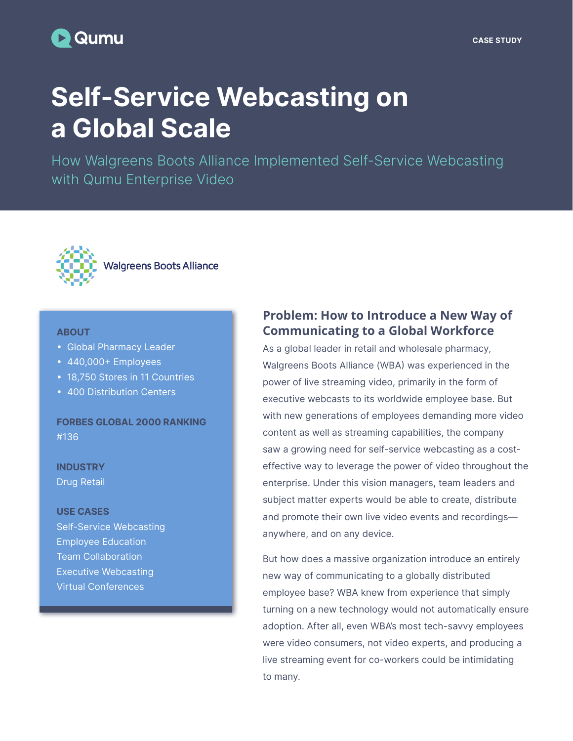# **D** Qumu

#### CASE STUDY

# Self-Service Webcasting on a Global Scale

How Walgreens Boots Alliance Implemented Self-Service Webcasting with Qumu Enterprise Video



#### **ABOUT**

- Global Pharmacy Leader
- 440,000+ Employees
- 18,750 Stores in 11 Countries
- 400 Distribution Centers

FORBES GLOBAL 2000 RANKING #136

**INDUSTRY** Drug Retail

#### USE CASES

Self-Service Webcasting Employee Education Team Collaboration Executive Webcasting Virtual Conferences

# **Problem: How to Introduce a New Way of Communicating to a Global Workforce**

As a global leader in retail and wholesale pharmacy, Walgreens Boots Alliance (WBA) was experienced in the power of live streaming video, primarily in the form of executive webcasts to its worldwide employee base. But with new generations of employees demanding more video content as well as streaming capabilities, the company saw a growing need for self-service webcasting as a costeffective way to leverage the power of video throughout the enterprise. Under this vision managers, team leaders and subject matter experts would be able to create, distribute and promote their own live video events and recordings anywhere, and on any device.

But how does a massive organization introduce an entirely new way of communicating to a globally distributed employee base? WBA knew from experience that simply turning on a new technology would not automatically ensure adoption. After all, even WBA's most tech-savvy employees were video consumers, not video experts, and producing a live streaming event for co-workers could be intimidating to many.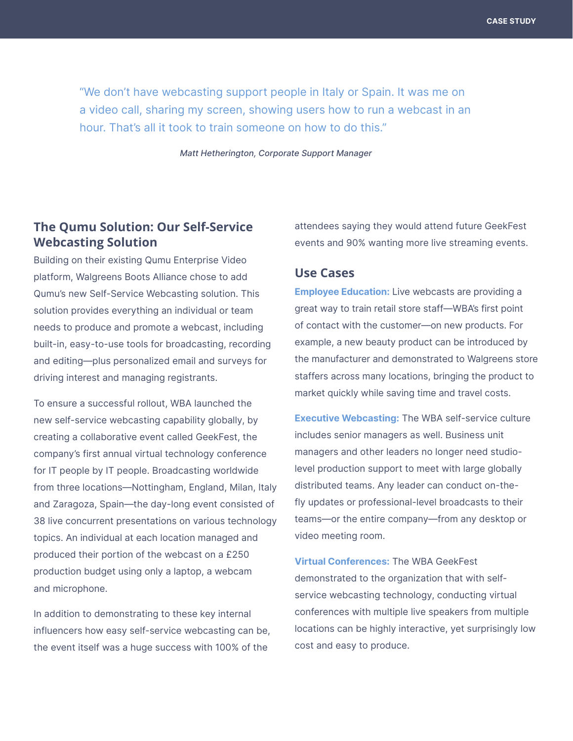"We don't have webcasting support people in Italy or Spain. It was me on a video call, sharing my screen, showing users how to run a webcast in an hour. That's all it took to train someone on how to do this."

Matt Hetherington, Corporate Support Manager

# **The Qumu Solution: Our Self-Service Webcasting Solution**

Building on their existing Qumu Enterprise Video platform, Walgreens Boots Alliance chose to add Qumu's new Self-Service Webcasting solution. This solution provides everything an individual or team needs to produce and promote a webcast, including built-in, easy-to-use tools for broadcasting, recording and editing—plus personalized email and surveys for driving interest and managing registrants.

To ensure a successful rollout, WBA launched the new self-service webcasting capability globally, by creating a collaborative event called GeekFest, the company's first annual virtual technology conference for IT people by IT people. Broadcasting worldwide from three locations—Nottingham, England, Milan, Italy and Zaragoza, Spain—the day-long event consisted of 38 live concurrent presentations on various technology topics. An individual at each location managed and produced their portion of the webcast on a £250 production budget using only a laptop, a webcam and microphone.

In addition to demonstrating to these key internal influencers how easy self-service webcasting can be, the event itself was a huge success with 100% of the

attendees saying they would attend future GeekFest events and 90% wanting more live streaming events.

## **Use Cases**

**Employee Education:** Live webcasts are providing a great way to train retail store staff—WBA's first point of contact with the customer—on new products. For example, a new beauty product can be introduced by the manufacturer and demonstrated to Walgreens store staffers across many locations, bringing the product to market quickly while saving time and travel costs.

Executive Webcasting: The WBA self-service culture includes senior managers as well. Business unit managers and other leaders no longer need studiolevel production support to meet with large globally distributed teams. Any leader can conduct on-thefly updates or professional-level broadcasts to their teams—or the entire company—from any desktop or video meeting room.

Virtual Conferences: The WBA GeekFest demonstrated to the organization that with selfservice webcasting technology, conducting virtual conferences with multiple live speakers from multiple locations can be highly interactive, yet surprisingly low cost and easy to produce.